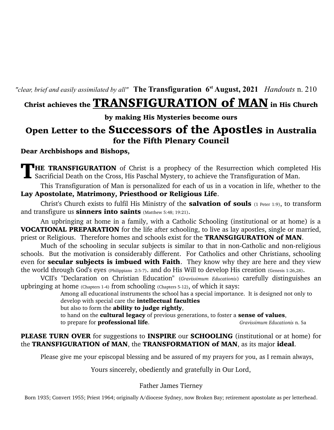*"clear, brief and easily assimilated by all"* **The Transfiguration 6st August, 2021** *Handouts* n. 210

# Christ achieves the **TRANSFIGURATION of MAN** in His Church

by making His Mysteries become ours

## Open Letter to the Successors of the Apostles in Australia for the Fifth Plenary Council

## Dear Archbishops and Bishops,

**HE TRANSFIGURATION** of Christ is a prophecy of the Resurrection which completed His Sacrificial Death on the Cross, His Paschal Mystery, to achieve the Transfiguration of Man.

This Transfiguration of Man is personalized for each of us in a vocation in life, whether to the Lay Apostolate, Matrimony, Priesthood or Religious Life.

Christ's Church exists to fulfil His Ministry of the **salvation of souls** (1 Peter 1:9), to transform and transfigure us **sinners into saints** (Matthew 5:48; 19:21).

An upbringing at home in a family, with a Catholic Schooling (institutional or at home) is a VOCATIONAL PREPARATION for the life after schooling, to live as lay apostles, single or married, priest or Religious. Therefore homes and schools exist for the **TRANSGIGURATION of MAN**.

Much of the schooling in secular subjects is similar to that in non-Catholic and non-religious schools. But the motivation is considerably different. For Catholics and other Christians, schooling even for **secular subjects is imbued with Faith**. They know why they are here and they view the world through God's eyes (Philippians 2:5-7). and do His Will to develop His creation (Genesis 1:26,28).

VCII's "Declaration on Christian Education" (*Gravissimum Educationis*) carefully distinguishes an upbringing at home (Chapters 1-4) from schooling (Chapters 5-12), of which it says:

Among all educational instruments the school has a special importance. It is designed not only to develop with special care the **intellectual faculties** 

but also to form the **ability to judge rightly**,

to hand on the **cultural legacy** of previous generations, to foster a **sense of values**,

to prepare for professional life. *Gravissimum Educationis* n. 5a

## PLEASE TURN OVER for suggestions to INSPIRE our SCHOOLING (institutional or at home) for the TRANSFIGURATION of MAN, the TRANSFORMATION of MAN, as its major ideal.

Please give me your episcopal blessing and be assured of my prayers for you, as I remain always,

Yours sincerely, obediently and gratefully in Our Lord,

## Father James Tierney

Born 1935; Convert 1955; Priest 1964; originally A/diocese Sydney, now Broken Bay; retirement apostolate as per letterhead.